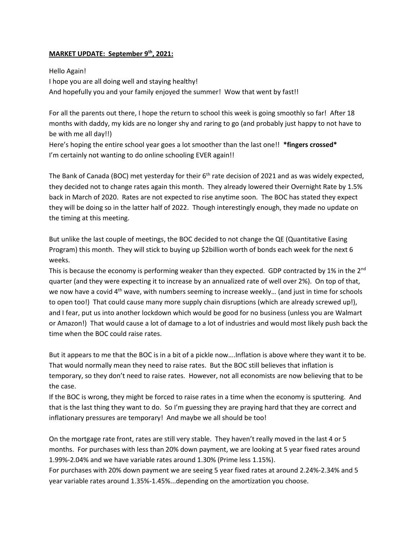## **MARKET UPDATE: September 9th, 2021:**

Hello Again! I hope you are all doing well and staying healthy! And hopefully you and your family enjoyed the summer! Wow that went by fast!!

For all the parents out there, I hope the return to school this week is going smoothly so far! After 18 months with daddy, my kids are no longer shy and raring to go (and probably just happy to not have to be with me all day!!)

Here's hoping the entire school year goes a lot smoother than the last one!! **\*fingers crossed\*** I'm certainly not wanting to do online schooling EVER again!!

The Bank of Canada (BOC) met yesterday for their 6<sup>th</sup> rate decision of 2021 and as was widely expected, they decided not to change rates again this month. They already lowered their Overnight Rate by 1.5% back in March of 2020. Rates are not expected to rise anytime soon. The BOC has stated they expect they will be doing so in the latter half of 2022. Though interestingly enough, they made no update on the timing at this meeting.

But unlike the last couple of meetings, the BOC decided to not change the QE (Quantitative Easing Program) this month. They will stick to buying up \$2billion worth of bonds each week for the next 6 weeks.

This is because the economy is performing weaker than they expected. GDP contracted by 1% in the 2<sup>nd</sup> quarter (and they were expecting it to increase by an annualized rate of well over 2%). On top of that, we now have a covid 4<sup>th</sup> wave, with numbers seeming to increase weekly... (and just in time for schools to open too!) That could cause many more supply chain disruptions (which are already screwed up!), and I fear, put us into another lockdown which would be good for no business (unless you are Walmart or Amazon!) That would cause a lot of damage to a lot of industries and would most likely push back the time when the BOC could raise rates.

But it appears to me that the BOC is in a bit of a pickle now….Inflation is above where they want it to be. That would normally mean they need to raise rates. But the BOC still believes that inflation is temporary, so they don't need to raise rates. However, not all economists are now believing that to be the case.

If the BOC is wrong, they might be forced to raise rates in a time when the economy is sputtering. And that is the last thing they want to do. So I'm guessing they are praying hard that they are correct and inflationary pressures are temporary! And maybe we all should be too!

On the mortgage rate front, rates are still very stable. They haven't really moved in the last 4 or 5 months. For purchases with less than 20% down payment, we are looking at 5 year fixed rates around 1.99%-2.04% and we have variable rates around 1.30% (Prime less 1.15%).

For purchases with 20% down payment we are seeing 5 year fixed rates at around 2.24%-2.34% and 5 year variable rates around 1.35%-1.45%...depending on the amortization you choose.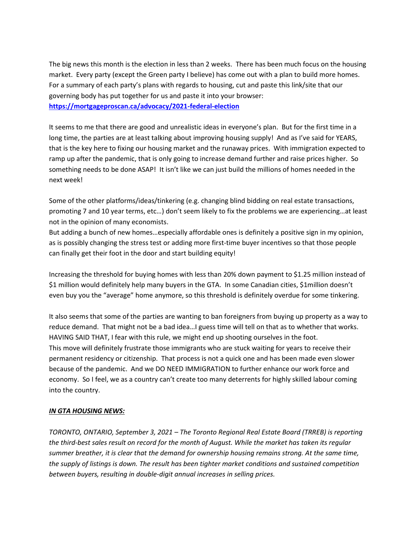The big news this month is the election in less than 2 weeks. There has been much focus on the housing market. Every party (except the Green party I believe) has come out with a plan to build more homes. For a summary of each party's plans with regards to housing, cut and paste this link/site that our governing body has put together for us and paste it into your browser: **<https://mortgageproscan.ca/advocacy/2021-federal-election>**

It seems to me that there are good and unrealistic ideas in everyone's plan. But for the first time in a long time, the parties are at least talking about improving housing supply! And as I've said for YEARS, that is the key here to fixing our housing market and the runaway prices. With immigration expected to ramp up after the pandemic, that is only going to increase demand further and raise prices higher. So something needs to be done ASAP! It isn't like we can just build the millions of homes needed in the next week!

Some of the other platforms/ideas/tinkering (e.g. changing blind bidding on real estate transactions, promoting 7 and 10 year terms, etc…) don't seem likely to fix the problems we are experiencing…at least not in the opinion of many economists.

But adding a bunch of new homes…especially affordable ones is definitely a positive sign in my opinion, as is possibly changing the stress test or adding more first-time buyer incentives so that those people can finally get their foot in the door and start building equity!

Increasing the threshold for buying homes with less than 20% down payment to \$1.25 million instead of \$1 million would definitely help many buyers in the GTA. In some Canadian cities, \$1million doesn't even buy you the "average" home anymore, so this threshold is definitely overdue for some tinkering.

It also seems that some of the parties are wanting to ban foreigners from buying up property as a way to reduce demand. That might not be a bad idea…I guess time will tell on that as to whether that works. HAVING SAID THAT, I fear with this rule, we might end up shooting ourselves in the foot. This move will definitely frustrate those immigrants who are stuck waiting for years to receive their permanent residency or citizenship. That process is not a quick one and has been made even slower because of the pandemic. And we DO NEED IMMIGRATION to further enhance our work force and economy. So I feel, we as a country can't create too many deterrents for highly skilled labour coming into the country.

## *IN GTA HOUSING NEWS:*

*TORONTO, ONTARIO, September 3, 2021 – The Toronto Regional Real Estate Board (TRREB) is reporting the third-best sales result on record for the month of August. While the market has taken its regular summer breather, it is clear that the demand for ownership housing remains strong. At the same time, the supply of listings is down. The result has been tighter market conditions and sustained competition between buyers, resulting in double-digit annual increases in selling prices.*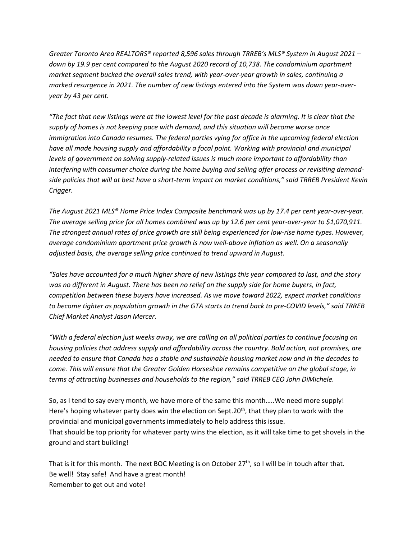*Greater Toronto Area REALTORS® reported 8,596 sales through TRREB's MLS® System in August 2021 – down by 19.9 per cent compared to the August 2020 record of 10,738. The condominium apartment market segment bucked the overall sales trend, with year-over-year growth in sales, continuing a marked resurgence in 2021. The number of new listings entered into the System was down year-overyear by 43 per cent.* 

*"The fact that new listings were at the lowest level for the past decade is alarming. It is clear that the supply of homes is not keeping pace with demand, and this situation will become worse once immigration into Canada resumes. The federal parties vying for office in the upcoming federal election have all made housing supply and affordability a focal point. Working with provincial and municipal levels of government on solving supply-related issues is much more important to affordability than interfering with consumer choice during the home buying and selling offer process or revisiting demandside policies that will at best have a short-term impact on market conditions," said TRREB President Kevin Crigger.* 

*The August 2021 MLS® Home Price Index Composite benchmark was up by 17.4 per cent year-over-year. The average selling price for all homes combined was up by 12.6 per cent year-over-year to \$1,070,911. The strongest annual rates of price growth are still being experienced for low-rise home types. However, average condominium apartment price growth is now well-above inflation as well. On a seasonally adjusted basis, the average selling price continued to trend upward in August.* 

*"Sales have accounted for a much higher share of new listings this year compared to last, and the story was no different in August. There has been no relief on the supply side for home buyers, in fact, competition between these buyers have increased. As we move toward 2022, expect market conditions to become tighter as population growth in the GTA starts to trend back to pre-COVID levels," said TRREB Chief Market Analyst Jason Mercer.* 

*"With a federal election just weeks away, we are calling on all political parties to continue focusing on housing policies that address supply and affordability across the country. Bold action, not promises, are needed to ensure that Canada has a stable and sustainable housing market now and in the decades to come. This will ensure that the Greater Golden Horseshoe remains competitive on the global stage, in terms of attracting businesses and households to the region," said TRREB CEO John DiMichele.*

So, as I tend to say every month, we have more of the same this month…..We need more supply! Here's hoping whatever party does win the election on Sept.20<sup>th</sup>, that they plan to work with the provincial and municipal governments immediately to help address this issue. That should be top priority for whatever party wins the election, as it will take time to get shovels in the ground and start building!

That is it for this month. The next BOC Meeting is on October 27<sup>th</sup>, so I will be in touch after that. Be well! Stay safe! And have a great month! Remember to get out and vote!